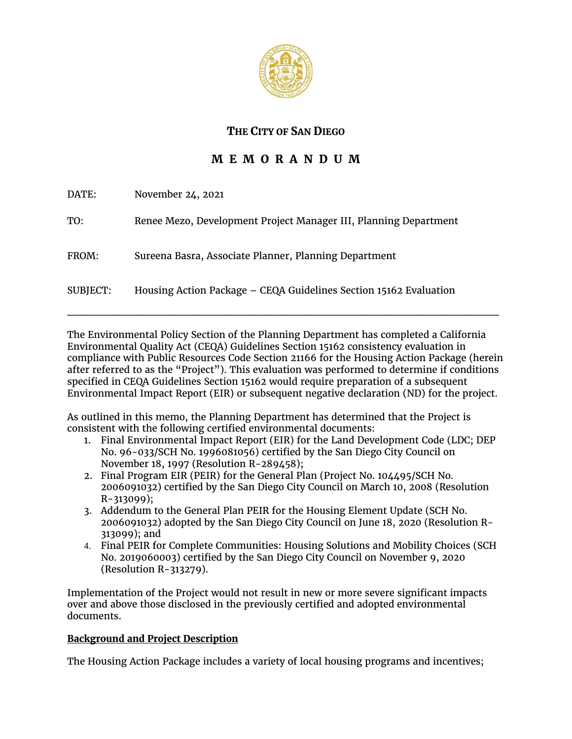

# **THE CITY OF SAN DIEGO**

# **M E M O R A N D U M**

| DATE:    | November 24, 2021                                                 |
|----------|-------------------------------------------------------------------|
| TO:      | Renee Mezo, Development Project Manager III, Planning Department  |
| FROM:    | Sureena Basra, Associate Planner, Planning Department             |
| SUBJECT: | Housing Action Package - CEQA Guidelines Section 15162 Evaluation |

The Environmental Policy Section of the Planning Department has completed a California Environmental Quality Act (CEQA) Guidelines Section 15162 consistency evaluation in compliance with Public Resources Code Section 21166 for the Housing Action Package (herein after referred to as the "Project"). This evaluation was performed to determine if conditions specified in CEQA Guidelines Section 15162 would require preparation of a subsequent Environmental Impact Report (EIR) or subsequent negative declaration (ND) for the project.

As outlined in this memo, the Planning Department has determined that the Project is consistent with the following certified environmental documents:

- 1. Final Environmental Impact Report (EIR) for the Land Development Code (LDC; DEP No. 96-033/SCH No. 1996081056) certified by the San Diego City Council on November 18, 1997 (Resolution R-289458);
- 2. Final Program EIR (PEIR) for the General Plan (Project No. 104495/SCH No. 2006091032) certified by the San Diego City Council on March 10, 2008 (Resolution R-313099);
- 3. Addendum to the General Plan PEIR for the Housing Element Update (SCH No. 2006091032) adopted by the San Diego City Council on June 18, 2020 (Resolution R-313099); and
- 4. Final PEIR for Complete Communities: Housing Solutions and Mobility Choices (SCH No. 2019060003) certified by the San Diego City Council on November 9, 2020 (Resolution R-313279).

Implementation of the Project would not result in new or more severe significant impacts over and above those disclosed in the previously certified and adopted environmental documents.

# **Background and Project Description**

The Housing Action Package includes a variety of local housing programs and incentives;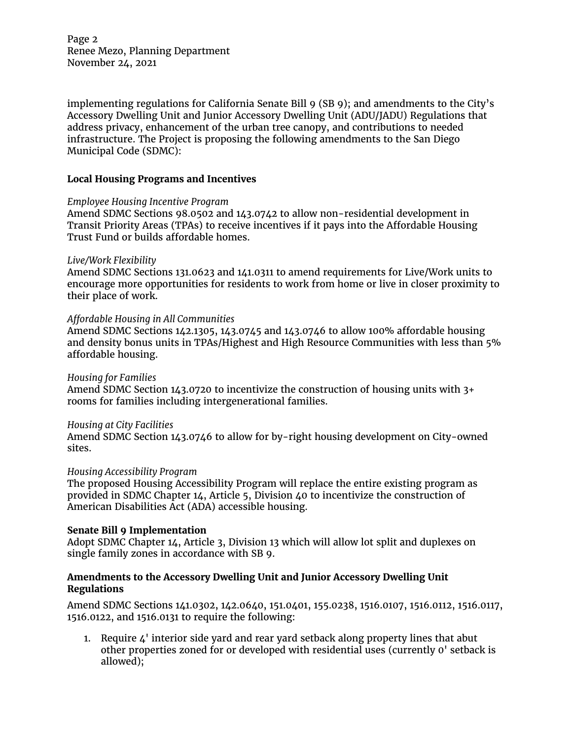Page 2 Renee Mezo, Planning Department November 24, 2021

implementing regulations for California Senate Bill 9 (SB 9); and amendments to the City's Accessory Dwelling Unit and Junior Accessory Dwelling Unit (ADU/JADU) Regulations that address privacy, enhancement of the urban tree canopy, and contributions to needed infrastructure. The Project is proposing the following amendments to the San Diego Municipal Code (SDMC):

## **Local Housing Programs and Incentives**

### *Employee Housing Incentive Program*

Amend SDMC Sections 98.0502 and 143.0742 to allow non-residential development in Transit Priority Areas (TPAs) to receive incentives if it pays into the Affordable Housing Trust Fund or builds affordable homes.

### *Live/Work Flexibility*

Amend SDMC Sections 131.0623 and 141.0311 to amend requirements for Live/Work units to encourage more opportunities for residents to work from home or live in closer proximity to their place of work.

### *Affordable Housing in All Communities*

Amend SDMC Sections 142.1305, 143.0745 and 143.0746 to allow 100% affordable housing and density bonus units in TPAs/Highest and High Resource Communities with less than 5% affordable housing.

### *Housing for Families*

Amend SDMC Section 143.0720 to incentivize the construction of housing units with 3+ rooms for families including intergenerational families.

### *Housing at City Facilities*

Amend SDMC Section 143.0746 to allow for by-right housing development on City-owned sites.

## *Housing Accessibility Program*

The proposed Housing Accessibility Program will replace the entire existing program as provided in SDMC Chapter 14, Article 5, Division 40 to incentivize the construction of American Disabilities Act (ADA) accessible housing.

## **Senate Bill 9 Implementation**

Adopt SDMC Chapter 14, Article 3, Division 13 which will allow lot split and duplexes on single family zones in accordance with SB 9.

# **Amendments to the Accessory Dwelling Unit and Junior Accessory Dwelling Unit Regulations**

Amend SDMC Sections 141.0302, 142.0640, 151.0401, 155.0238, 1516.0107, 1516.0112, 1516.0117, 1516.0122, and 1516.0131 to require the following:

1. Require  $\mu$ <sup>'</sup> interior side yard and rear yard setback along property lines that abut other properties zoned for or developed with residential uses (currently 0' setback is allowed);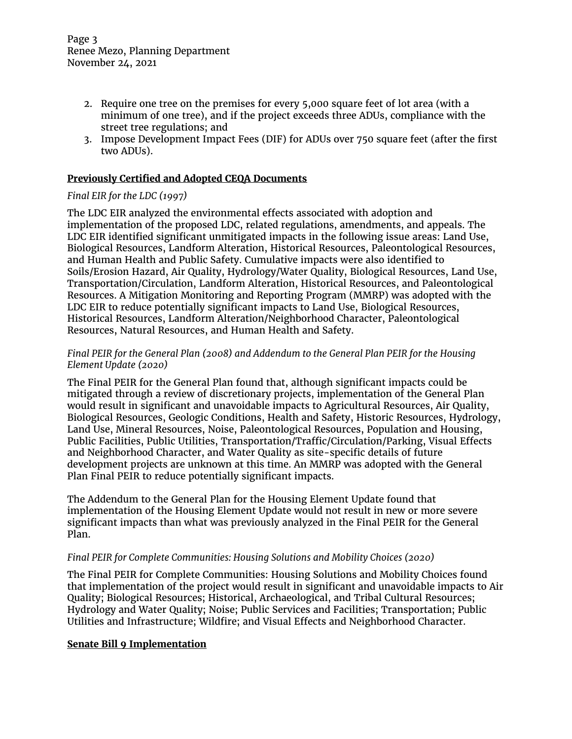- 2. Require one tree on the premises for every 5,000 square feet of lot area (with a minimum of one tree), and if the project exceeds three ADUs, compliance with the street tree regulations; and
- 3. Impose Development Impact Fees (DIF) for ADUs over 750 square feet (after the first two ADUs).

## **Previously Certified and Adopted CEQA Documents**

## *Final EIR for the LDC (1997)*

The LDC EIR analyzed the environmental effects associated with adoption and implementation of the proposed LDC, related regulations, amendments, and appeals. The LDC EIR identified significant unmitigated impacts in the following issue areas: Land Use, Biological Resources, Landform Alteration, Historical Resources, Paleontological Resources, and Human Health and Public Safety. Cumulative impacts were also identified to Soils/Erosion Hazard, Air Quality, Hydrology/Water Quality, Biological Resources, Land Use, Transportation/Circulation, Landform Alteration, Historical Resources, and Paleontological Resources. A Mitigation Monitoring and Reporting Program (MMRP) was adopted with the LDC EIR to reduce potentially significant impacts to Land Use, Biological Resources, Historical Resources, Landform Alteration/Neighborhood Character, Paleontological Resources, Natural Resources, and Human Health and Safety.

# *Final PEIR for the General Plan (2008) and Addendum to the General Plan PEIR for the Housing Element Update (2020)*

The Final PEIR for the General Plan found that, although significant impacts could be mitigated through a review of discretionary projects, implementation of the General Plan would result in significant and unavoidable impacts to Agricultural Resources, Air Quality, Biological Resources, Geologic Conditions, Health and Safety, Historic Resources, Hydrology, Land Use, Mineral Resources, Noise, Paleontological Resources, Population and Housing, Public Facilities, Public Utilities, Transportation/Traffic/Circulation/Parking, Visual Effects and Neighborhood Character, and Water Quality as site-specific details of future development projects are unknown at this time. An MMRP was adopted with the General Plan Final PEIR to reduce potentially significant impacts.

The Addendum to the General Plan for the Housing Element Update found that implementation of the Housing Element Update would not result in new or more severe significant impacts than what was previously analyzed in the Final PEIR for the General Plan.

### *Final PEIR for Complete Communities: Housing Solutions and Mobility Choices (2020)*

The Final PEIR for Complete Communities: Housing Solutions and Mobility Choices found that implementation of the project would result in significant and unavoidable impacts to Air Quality; Biological Resources; Historical, Archaeological, and Tribal Cultural Resources; Hydrology and Water Quality; Noise; Public Services and Facilities; Transportation; Public Utilities and Infrastructure; Wildfire; and Visual Effects and Neighborhood Character.

## **Senate Bill 9 Implementation**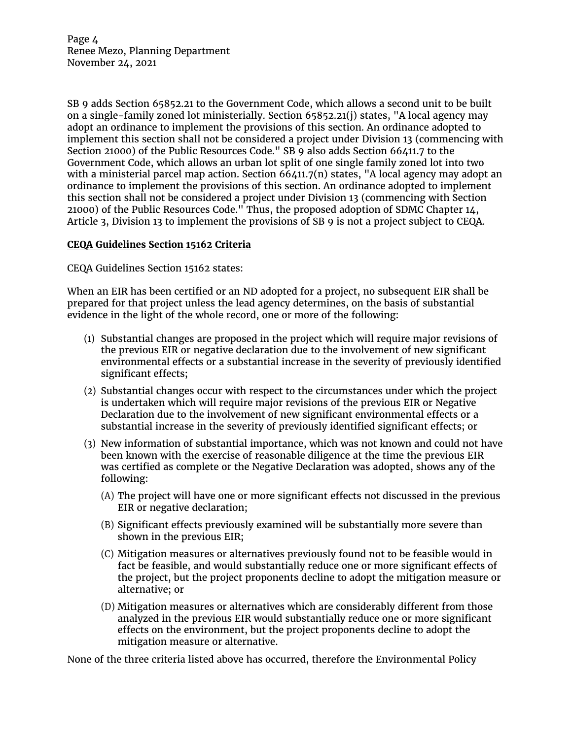Page 4 Renee Mezo, Planning Department November 24, 2021

SB 9 adds Section 65852.21 to the Government Code, which allows a second unit to be built on a single-family zoned lot ministerially. Section 65852.21(j) states, "A local agency may adopt an ordinance to implement the provisions of this section. An ordinance adopted to implement this section shall not be considered a project under Division 13 (commencing with Section 21000) of the Public Resources Code." SB 9 also adds Section 66411.7 to the Government Code, which allows an urban lot split of one single family zoned lot into two with a ministerial parcel map action. Section 66411.7(n) states, "A local agency may adopt an ordinance to implement the provisions of this section. An ordinance adopted to implement this section shall not be considered a project under Division 13 (commencing with Section 21000) of the Public Resources Code." Thus, the proposed adoption of SDMC Chapter 14, Article 3, Division 13 to implement the provisions of SB 9 is not a project subject to CEQA.

# **CEQA Guidelines Section 15162 Criteria**

CEQA Guidelines Section 15162 states:

When an EIR has been certified or an ND adopted for a project, no subsequent EIR shall be prepared for that project unless the lead agency determines, on the basis of substantial evidence in the light of the whole record, one or more of the following:

- (1) Substantial changes are proposed in the project which will require major revisions of the previous EIR or negative declaration due to the involvement of new significant environmental effects or a substantial increase in the severity of previously identified significant effects;
- (2) Substantial changes occur with respect to the circumstances under which the project is undertaken which will require major revisions of the previous EIR or Negative Declaration due to the involvement of new significant environmental effects or a substantial increase in the severity of previously identified significant effects; or
- (3) New information of substantial importance, which was not known and could not have been known with the exercise of reasonable diligence at the time the previous EIR was certified as complete or the Negative Declaration was adopted, shows any of the following:
	- (A) The project will have one or more significant effects not discussed in the previous EIR or negative declaration;
	- (B) Significant effects previously examined will be substantially more severe than shown in the previous EIR;
	- (C) Mitigation measures or alternatives previously found not to be feasible would in fact be feasible, and would substantially reduce one or more significant effects of the project, but the project proponents decline to adopt the mitigation measure or alternative; or
	- (D) Mitigation measures or alternatives which are considerably different from those analyzed in the previous EIR would substantially reduce one or more significant effects on the environment, but the project proponents decline to adopt the mitigation measure or alternative.

None of the three criteria listed above has occurred, therefore the Environmental Policy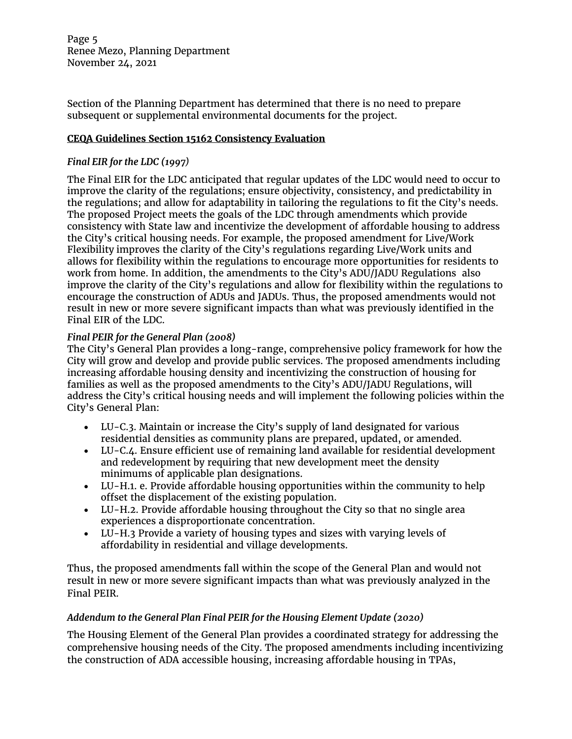Page 5 Renee Mezo, Planning Department November 24, 2021

Section of the Planning Department has determined that there is no need to prepare subsequent or supplemental environmental documents for the project.

## **CEQA Guidelines Section 15162 Consistency Evaluation**

# *Final EIR for the LDC (1997)*

The Final EIR for the LDC anticipated that regular updates of the LDC would need to occur to improve the clarity of the regulations; ensure objectivity, consistency, and predictability in the regulations; and allow for adaptability in tailoring the regulations to fit the City's needs. The proposed Project meets the goals of the LDC through amendments which provide consistency with State law and incentivize the development of affordable housing to address the City's critical housing needs. For example, the proposed amendment for Live/Work Flexibility improves the clarity of the City's regulations regarding Live/Work units and allows for flexibility within the regulations to encourage more opportunities for residents to work from home. In addition, the amendments to the City's ADU/JADU Regulations also improve the clarity of the City's regulations and allow for flexibility within the regulations to encourage the construction of ADUs and JADUs. Thus, the proposed amendments would not result in new or more severe significant impacts than what was previously identified in the Final EIR of the LDC.

# *Final PEIR for the General Plan (2008)*

The City's General Plan provides a long-range, comprehensive policy framework for how the City will grow and develop and provide public services. The proposed amendments including increasing affordable housing density and incentivizing the construction of housing for families as well as the proposed amendments to the City's ADU/JADU Regulations, will address the City's critical housing needs and will implement the following policies within the City's General Plan:

- LU-C.3. Maintain or increase the City's supply of land designated for various residential densities as community plans are prepared, updated, or amended.
- LU-C.4. Ensure efficient use of remaining land available for residential development and redevelopment by requiring that new development meet the density minimums of applicable plan designations.
- LU-H.1. e. Provide affordable housing opportunities within the community to help offset the displacement of the existing population.
- LU-H.2. Provide affordable housing throughout the City so that no single area experiences a disproportionate concentration.
- LU-H.3 Provide a variety of housing types and sizes with varying levels of affordability in residential and village developments.

Thus, the proposed amendments fall within the scope of the General Plan and would not result in new or more severe significant impacts than what was previously analyzed in the Final PEIR.

# *Addendum to the General Plan Final PEIR for the Housing Element Update (2020)*

The Housing Element of the General Plan provides a coordinated strategy for addressing the comprehensive housing needs of the City. The proposed amendments including incentivizing the construction of ADA accessible housing, increasing affordable housing in TPAs,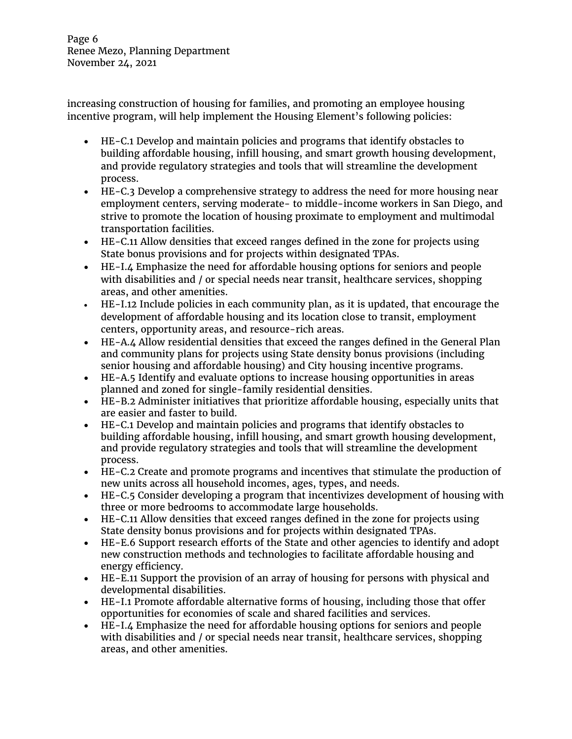increasing construction of housing for families, and promoting an employee housing incentive program, will help implement the Housing Element's following policies:

- HE-C.1 Develop and maintain policies and programs that identify obstacles to building affordable housing, infill housing, and smart growth housing development, and provide regulatory strategies and tools that will streamline the development process.
- HE-C.3 Develop a comprehensive strategy to address the need for more housing near employment centers, serving moderate- to middle-income workers in San Diego, and strive to promote the location of housing proximate to employment and multimodal transportation facilities.
- HE-C.11 Allow densities that exceed ranges defined in the zone for projects using State bonus provisions and for projects within designated TPAs.
- HE-I.4 Emphasize the need for affordable housing options for seniors and people with disabilities and / or special needs near transit, healthcare services, shopping areas, and other amenities.
- HE-I.12 Include policies in each community plan, as it is updated, that encourage the development of affordable housing and its location close to transit, employment centers, opportunity areas, and resource-rich areas.
- HE-A.4 Allow residential densities that exceed the ranges defined in the General Plan and community plans for projects using State density bonus provisions (including senior housing and affordable housing) and City housing incentive programs.
- HE-A.5 Identify and evaluate options to increase housing opportunities in areas planned and zoned for single-family residential densities.
- HE-B.2 Administer initiatives that prioritize affordable housing, especially units that are easier and faster to build.
- HE-C.1 Develop and maintain policies and programs that identify obstacles to building affordable housing, infill housing, and smart growth housing development, and provide regulatory strategies and tools that will streamline the development process.
- HE-C.2 Create and promote programs and incentives that stimulate the production of new units across all household incomes, ages, types, and needs.
- HE-C.5 Consider developing a program that incentivizes development of housing with three or more bedrooms to accommodate large households.
- HE-C.11 Allow densities that exceed ranges defined in the zone for projects using State density bonus provisions and for projects within designated TPAs.
- HE-E.6 Support research efforts of the State and other agencies to identify and adopt new construction methods and technologies to facilitate affordable housing and energy efficiency.
- HE-E.11 Support the provision of an array of housing for persons with physical and developmental disabilities.
- HE-I.1 Promote affordable alternative forms of housing, including those that offer opportunities for economies of scale and shared facilities and services.
- HE-I.4 Emphasize the need for affordable housing options for seniors and people with disabilities and / or special needs near transit, healthcare services, shopping areas, and other amenities.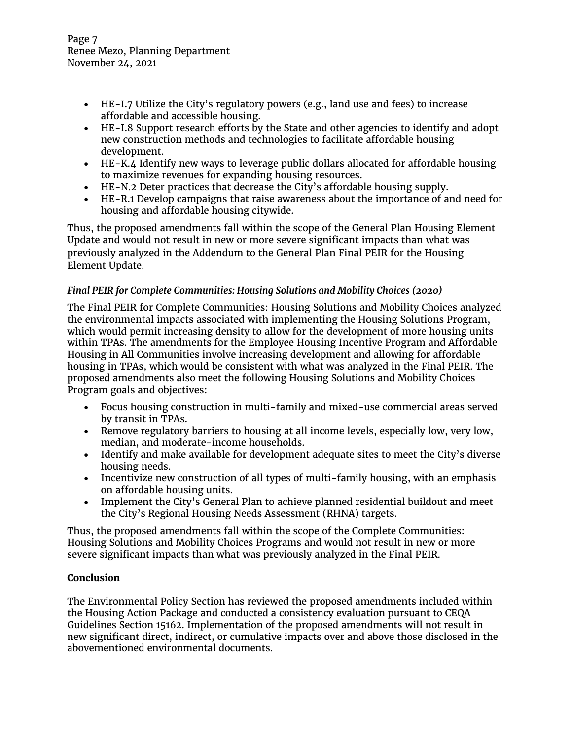Page 7 Renee Mezo, Planning Department November 24, 2021

- HE-I.7 Utilize the City's regulatory powers (e.g., land use and fees) to increase affordable and accessible housing.
- HE-I.8 Support research efforts by the State and other agencies to identify and adopt new construction methods and technologies to facilitate affordable housing development.
- HE-K.4 Identify new ways to leverage public dollars allocated for affordable housing to maximize revenues for expanding housing resources.
- HE-N.2 Deter practices that decrease the City's affordable housing supply.
- HE-R.1 Develop campaigns that raise awareness about the importance of and need for housing and affordable housing citywide.

Thus, the proposed amendments fall within the scope of the General Plan Housing Element Update and would not result in new or more severe significant impacts than what was previously analyzed in the Addendum to the General Plan Final PEIR for the Housing Element Update.

# *Final PEIR for Complete Communities: Housing Solutions and Mobility Choices (2020)*

The Final PEIR for Complete Communities: Housing Solutions and Mobility Choices analyzed the environmental impacts associated with implementing the Housing Solutions Program, which would permit increasing density to allow for the development of more housing units within TPAs. The amendments for the Employee Housing Incentive Program and Affordable Housing in All Communities involve increasing development and allowing for affordable housing in TPAs, which would be consistent with what was analyzed in the Final PEIR. The proposed amendments also meet the following Housing Solutions and Mobility Choices Program goals and objectives:

- Focus housing construction in multi-family and mixed-use commercial areas served by transit in TPAs.
- Remove regulatory barriers to housing at all income levels, especially low, very low, median, and moderate-income households.
- Identify and make available for development adequate sites to meet the City's diverse housing needs.
- Incentivize new construction of all types of multi-family housing, with an emphasis on affordable housing units.
- Implement the City's General Plan to achieve planned residential buildout and meet the City's Regional Housing Needs Assessment (RHNA) targets.

Thus, the proposed amendments fall within the scope of the Complete Communities: Housing Solutions and Mobility Choices Programs and would not result in new or more severe significant impacts than what was previously analyzed in the Final PEIR.

# **Conclusion**

The Environmental Policy Section has reviewed the proposed amendments included within the Housing Action Package and conducted a consistency evaluation pursuant to CEQA Guidelines Section 15162. Implementation of the proposed amendments will not result in new significant direct, indirect, or cumulative impacts over and above those disclosed in the abovementioned environmental documents.